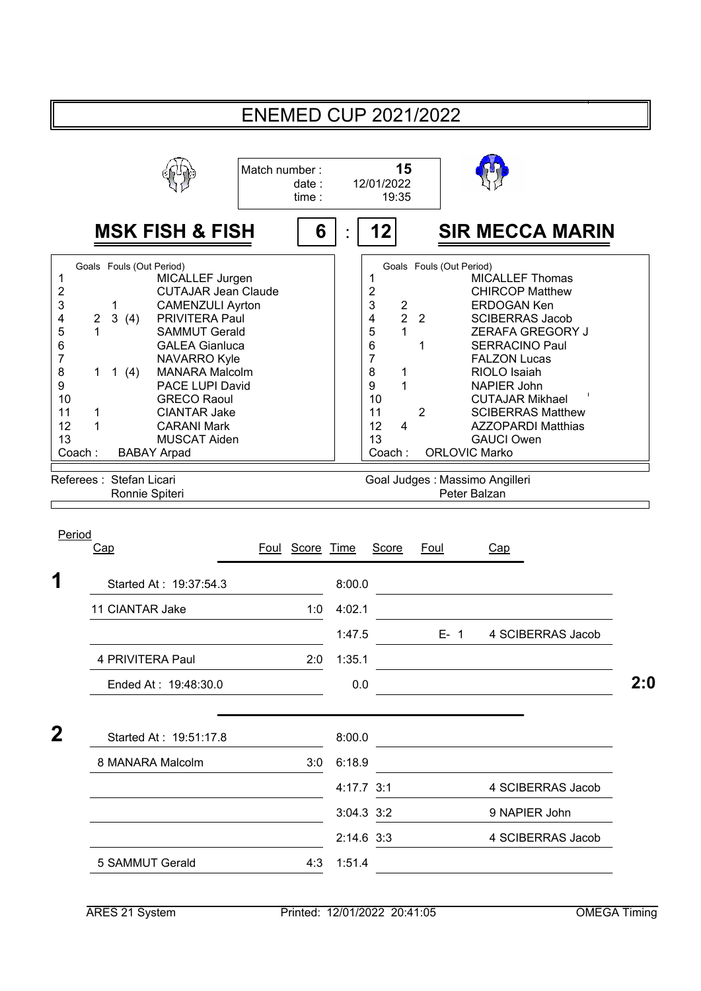|                                                                                                                          |                                                                                                                                           |                                                                                                                                                                                                                                                                                                                                | <b>ENEMED CUP 2021/2022</b> |                |                |                                                                                                                                                                           |                                                      |                                                                                                            |                                                                                                                                                                                                                                                                                                                    |     |
|--------------------------------------------------------------------------------------------------------------------------|-------------------------------------------------------------------------------------------------------------------------------------------|--------------------------------------------------------------------------------------------------------------------------------------------------------------------------------------------------------------------------------------------------------------------------------------------------------------------------------|-----------------------------|----------------|----------------|---------------------------------------------------------------------------------------------------------------------------------------------------------------------------|------------------------------------------------------|------------------------------------------------------------------------------------------------------------|--------------------------------------------------------------------------------------------------------------------------------------------------------------------------------------------------------------------------------------------------------------------------------------------------------------------|-----|
|                                                                                                                          |                                                                                                                                           |                                                                                                                                                                                                                                                                                                                                | Match number:               | date:<br>time: |                | 15<br>12/01/2022<br>19:35                                                                                                                                                 |                                                      |                                                                                                            |                                                                                                                                                                                                                                                                                                                    |     |
|                                                                                                                          |                                                                                                                                           | <b>MSK FISH &amp; FISH</b>                                                                                                                                                                                                                                                                                                     |                             | 6              |                | 12                                                                                                                                                                        |                                                      |                                                                                                            | <b>SIR MECCA MARIN</b>                                                                                                                                                                                                                                                                                             |     |
| 1<br>$\overline{\mathbf{c}}$<br>3<br>4<br>5<br>6<br>$\overline{7}$<br>8<br>9<br>10<br>11<br>12<br>13<br>Coach:<br>Period | Goals Fouls (Out Period)<br>1<br>3<br>$\overline{c}$<br>(4)<br>1<br>1 $(4)$<br>1<br>1<br>Referees: Stefan Licari<br>Ronnie Spiteri<br>Cap | MICALLEF Jurgen<br><b>CUTAJAR Jean Claude</b><br><b>CAMENZULI Ayrton</b><br>PRIVITERA Paul<br><b>SAMMUT Gerald</b><br><b>GALEA Gianluca</b><br><b>NAVARRO Kyle</b><br><b>MANARA Malcolm</b><br>PACE LUPI David<br><b>GRECO Raoul</b><br><b>CIANTAR Jake</b><br><b>CARANI Mark</b><br><b>MUSCAT Aiden</b><br><b>BABAY Arpad</b> | Foul Score Time             |                |                | 1<br>$\overline{\mathbf{c}}$<br>3<br>$\overline{c}$<br>$\overline{2}$<br>4<br>5<br>1<br>6<br>7<br>8<br>1<br>9<br>1<br>10<br>11<br>12<br>4<br>13<br>Coach:<br><b>Score</b> | $\overline{2}$<br>1<br>$\overline{2}$<br><b>Foul</b> | Goals Fouls (Out Period)<br><b>ORLOVIC Marko</b><br>Goal Judges : Massimo Angilleri<br>Peter Balzan<br>Cap | <b>MICALLEF Thomas</b><br><b>CHIRCOP Matthew</b><br><b>ERDOGAN Ken</b><br><b>SCIBERRAS Jacob</b><br>ZERAFA GREGORY J<br><b>SERRACINO Paul</b><br><b>FALZON Lucas</b><br>RIOLO Isaiah<br><b>NAPIER John</b><br><b>CUTAJAR Mikhael</b><br><b>SCIBERRAS Matthew</b><br><b>AZZOPARDI Matthias</b><br><b>GAUCI Owen</b> |     |
| 1                                                                                                                        |                                                                                                                                           | Started At: 19:37:54.3                                                                                                                                                                                                                                                                                                         |                             |                | 8:00.0         |                                                                                                                                                                           |                                                      |                                                                                                            |                                                                                                                                                                                                                                                                                                                    |     |
|                                                                                                                          | 11 CIANTAR Jake                                                                                                                           |                                                                                                                                                                                                                                                                                                                                |                             | 1:0            | 4:02.1         |                                                                                                                                                                           |                                                      |                                                                                                            |                                                                                                                                                                                                                                                                                                                    |     |
|                                                                                                                          |                                                                                                                                           |                                                                                                                                                                                                                                                                                                                                |                             |                | 1:47.5         |                                                                                                                                                                           |                                                      |                                                                                                            | E- 1 4 SCIBERRAS Jacob                                                                                                                                                                                                                                                                                             |     |
|                                                                                                                          | 4 PRIVITERA Paul                                                                                                                          |                                                                                                                                                                                                                                                                                                                                |                             | 2:0            | 1:35.1         |                                                                                                                                                                           |                                                      |                                                                                                            |                                                                                                                                                                                                                                                                                                                    |     |
|                                                                                                                          |                                                                                                                                           | Ended At: 19:48:30.0                                                                                                                                                                                                                                                                                                           |                             |                | 0.0            |                                                                                                                                                                           |                                                      |                                                                                                            |                                                                                                                                                                                                                                                                                                                    | 2:0 |
| $\mathbf{2}$                                                                                                             |                                                                                                                                           | Started At: 19:51:17.8                                                                                                                                                                                                                                                                                                         |                             |                | 8:00.0         |                                                                                                                                                                           |                                                      |                                                                                                            | <u> 1989 - Johann Barn, amerikansk politiker (d. 1989)</u>                                                                                                                                                                                                                                                         |     |
|                                                                                                                          |                                                                                                                                           | 8 MANARA Malcolm                                                                                                                                                                                                                                                                                                               |                             | 3:0            | 6:18.9         |                                                                                                                                                                           |                                                      |                                                                                                            |                                                                                                                                                                                                                                                                                                                    |     |
|                                                                                                                          |                                                                                                                                           |                                                                                                                                                                                                                                                                                                                                |                             |                | 4:17.7 3:1     |                                                                                                                                                                           |                                                      |                                                                                                            | 4 SCIBERRAS Jacob                                                                                                                                                                                                                                                                                                  |     |
|                                                                                                                          |                                                                                                                                           |                                                                                                                                                                                                                                                                                                                                |                             |                | $3:04.3$ $3:2$ |                                                                                                                                                                           |                                                      |                                                                                                            | 9 NAPIER John                                                                                                                                                                                                                                                                                                      |     |
|                                                                                                                          |                                                                                                                                           |                                                                                                                                                                                                                                                                                                                                |                             |                | $2:14.6$ 3:3   |                                                                                                                                                                           |                                                      |                                                                                                            | 4 SCIBERRAS Jacob                                                                                                                                                                                                                                                                                                  |     |
|                                                                                                                          | 5 SAMMUT Gerald                                                                                                                           |                                                                                                                                                                                                                                                                                                                                |                             | 4:3            | 1:51.4         |                                                                                                                                                                           |                                                      |                                                                                                            |                                                                                                                                                                                                                                                                                                                    |     |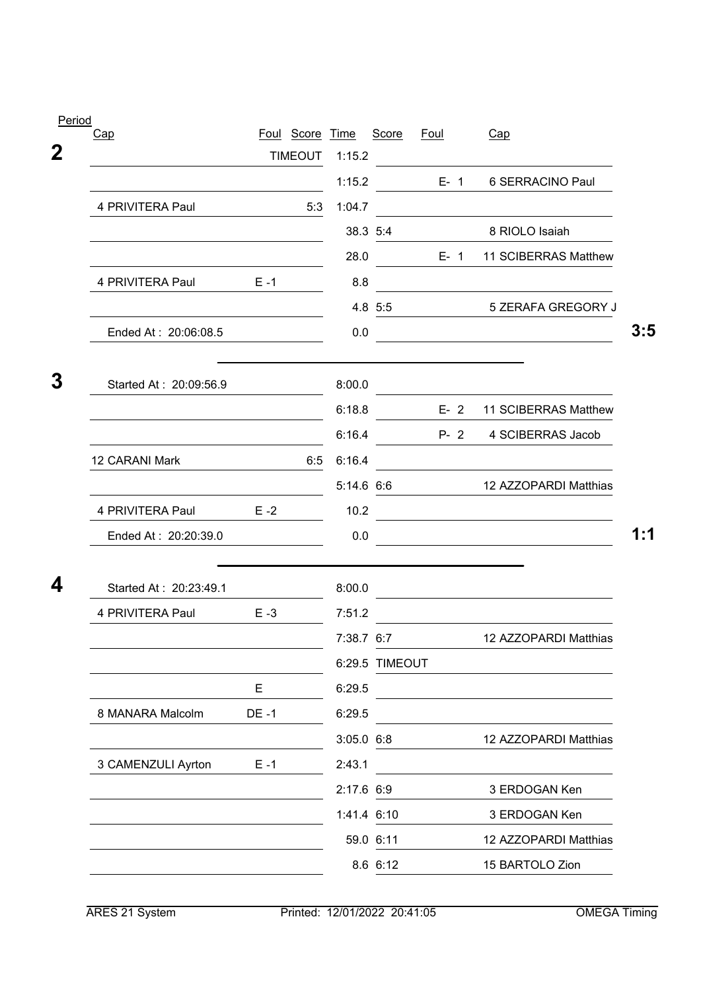| <b>Period</b> |                        |             |                 |             |                |             |                                                                                                                       |     |
|---------------|------------------------|-------------|-----------------|-------------|----------------|-------------|-----------------------------------------------------------------------------------------------------------------------|-----|
|               | Cap                    |             | Foul Score Time |             | Score          | <u>Foul</u> | Cap                                                                                                                   |     |
| $\mathbf 2$   |                        |             | <b>TIMEOUT</b>  | 1:15.2      |                |             |                                                                                                                       |     |
|               |                        |             |                 | 1:15.2      |                |             | E- 1 6 SERRACINO Paul                                                                                                 |     |
|               | 4 PRIVITERA Paul       |             | 5:3             | 1:04.7      |                |             |                                                                                                                       |     |
|               |                        |             |                 |             | 38.3 5:4       |             | 8 RIOLO Isaiah                                                                                                        |     |
|               |                        |             |                 | 28.0        |                | $E-1$       | 11 SCIBERRAS Matthew                                                                                                  |     |
|               | 4 PRIVITERA Paul E-1   |             |                 | 8.8         |                |             |                                                                                                                       |     |
|               |                        |             |                 |             | 4.8 5:5        |             | 5 ZERAFA GREGORY J                                                                                                    |     |
|               | Ended At: 20:06:08.5   |             |                 | 0.0         |                |             |                                                                                                                       | 3:5 |
|               |                        |             |                 |             |                |             |                                                                                                                       |     |
| 3             | Started At: 20:09:56.9 |             |                 | 8:00.0      |                |             |                                                                                                                       |     |
|               |                        |             |                 | 6:18.8      |                |             | E- 2 11 SCIBERRAS Matthew                                                                                             |     |
|               |                        |             |                 | 6:16.4      |                |             | P- 2 4 SCIBERRAS Jacob                                                                                                |     |
|               | 12 CARANI Mark         |             | 6:5             | 6:16.4      |                |             |                                                                                                                       |     |
|               |                        |             |                 |             | 5:14.6 6:6     |             | 12 AZZOPARDI Matthias                                                                                                 |     |
|               | 4 PRIVITERA Paul       | $E - 2$     |                 | 10.2        |                |             | <u> 1989 - Johann Barn, mars ann an t-Amhair an t-Amhair an t-Amhair an t-Amhair an t-Amhair an t-Amhair an t-Amh</u> |     |
|               | Ended At: 20:20:39.0   |             |                 | 0.0         |                |             |                                                                                                                       | 1:1 |
|               |                        |             |                 |             |                |             |                                                                                                                       |     |
| 4             | Started At: 20:23:49.1 |             |                 | 8:00.0      |                |             | the control of the control of the control of the control of the control of the control of                             |     |
|               | 4 PRIVITERA Paul       | $E - 3$     |                 | 7:51.2      |                |             |                                                                                                                       |     |
|               |                        |             |                 | 7:38.7 6:7  |                |             | 12 AZZOPARDI Matthias                                                                                                 |     |
|               |                        |             |                 |             | 6:29.5 TIMEOUT |             |                                                                                                                       |     |
|               |                        | E           |                 | 6:29.5      |                |             |                                                                                                                       |     |
|               | 8 MANARA Malcolm       | <b>DE-1</b> |                 | 6:29.5      |                |             |                                                                                                                       |     |
|               |                        |             |                 | 3:05.0 6:8  |                |             | 12 AZZOPARDI Matthias                                                                                                 |     |
|               | 3 CAMENZULI Ayrton     | $E - 1$     |                 | 2:43.1      |                |             |                                                                                                                       |     |
|               |                        |             |                 | 2:17.6 6:9  |                |             | 3 ERDOGAN Ken                                                                                                         |     |
|               |                        |             |                 | 1:41.4 6:10 |                |             | 3 ERDOGAN Ken                                                                                                         |     |
|               |                        |             |                 |             | 59.0 6:11      |             | 12 AZZOPARDI Matthias                                                                                                 |     |
|               |                        |             |                 |             | 8.6 6:12       |             | 15 BARTOLO Zion                                                                                                       |     |
|               |                        |             |                 |             |                |             |                                                                                                                       |     |